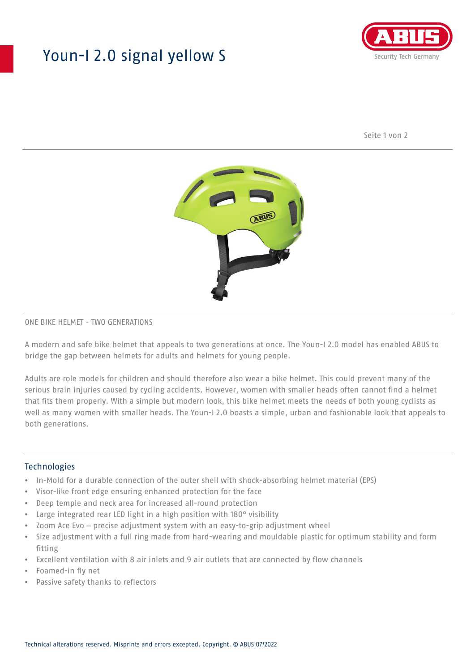## Youn-I 2.0 signal yellow S



Seite 1 von 2



### ONE BIKE HELMET - TWO GENERATIONS

A modern and safe bike helmet that appeals to two generations at once. The Youn-I 2.0 model has enabled ABUS to bridge the gap between helmets for adults and helmets for young people.

Adults are role models for children and should therefore also wear a bike helmet. This could prevent many of the serious brain injuries caused by cycling accidents. However, women with smaller heads often cannot find a helmet that fits them properly. With a simple but modern look, this bike helmet meets the needs of both young cyclists as well as many women with smaller heads. The Youn-I 2.0 boasts a simple, urban and fashionable look that appeals to both generations.

#### **Technologies**

- In-Mold for a durable connection of the outer shell with shock-absorbing helmet material (EPS)
- Visor-like front edge ensuring enhanced protection for the face
- Deep temple and neck area for increased all-round protection
- Large integrated rear LED light in a high position with 180° visibility
- Zoom Ace Evo precise adjustment system with an easy-to-grip adjustment wheel
- Size adjustment with a full ring made from hard-wearing and mouldable plastic for optimum stability and form fitting
- Excellent ventilation with 8 air inlets and 9 air outlets that are connected by flow channels
- Foamed-in fly net
- Passive safety thanks to reflectors